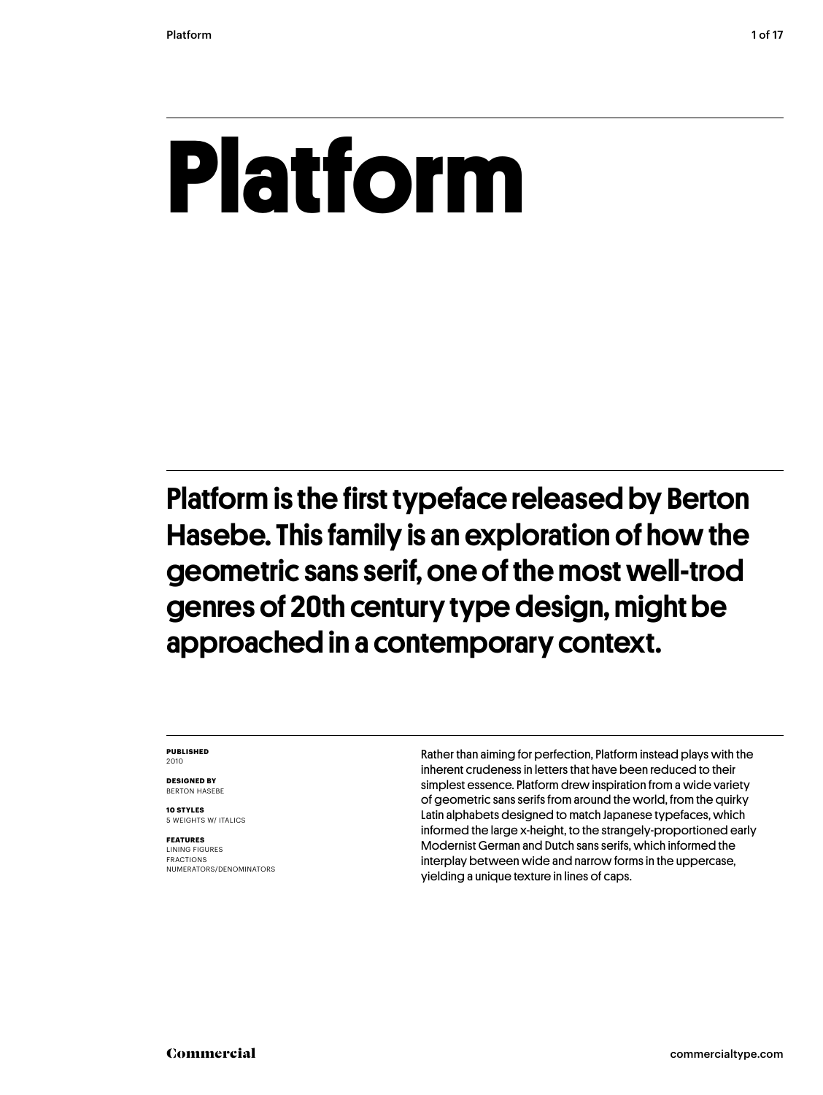# **Platform**

Platform is the first typeface released by Berton Hasebe. This family is an exploration of how the geometric sans serif, one of the most well-trod genres of 20th century type design, might be approached in a contemporary context.

#### **PUBLISHED** 2010

**DESIGNED BY** BERTON HASEBE

**10 STYLES** 5 WEIGHTS W/ ITALICS

**FEATURES** LINING FIGURES FRACTIONS NUMERATORS/DENOMINATORS Rather than aiming for perfection, Platform instead plays with the inherent crudeness in letters that have been reduced to their simplest essence. Platform drew inspiration from a wide variety of geometric sans serifs from around the world, from the quirky Latin alphabets designed to match Japanese typefaces, which informed the large x-height, to the strangely-proportioned early Modernist German and Dutch sans serifs, which informed the interplay between wide and narrow forms in the uppercase, yielding a unique texture in lines of caps.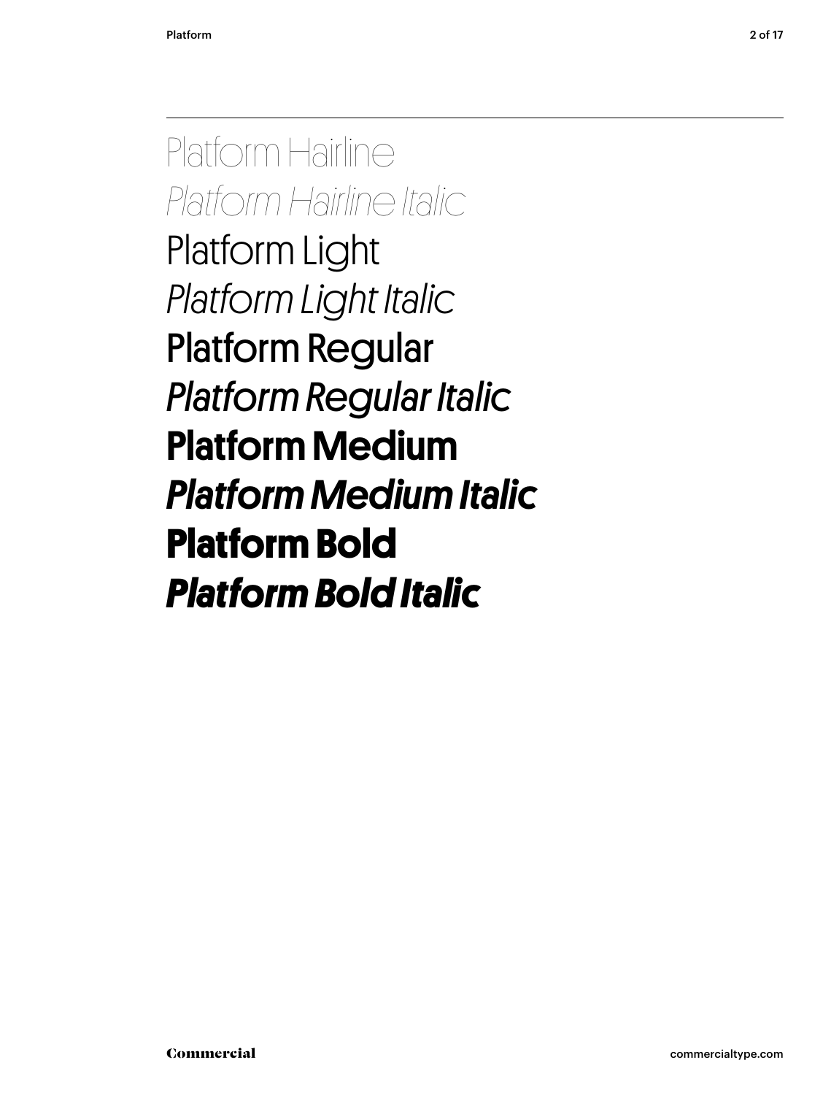Platform Hairline *Platform Hairline Italic* Platform Light *Platform Light Italic* Platform Regular *Platform Regular Italic* Platform Medium *Platform Medium Italic* **Platform Bold** *Platform Bold Italic*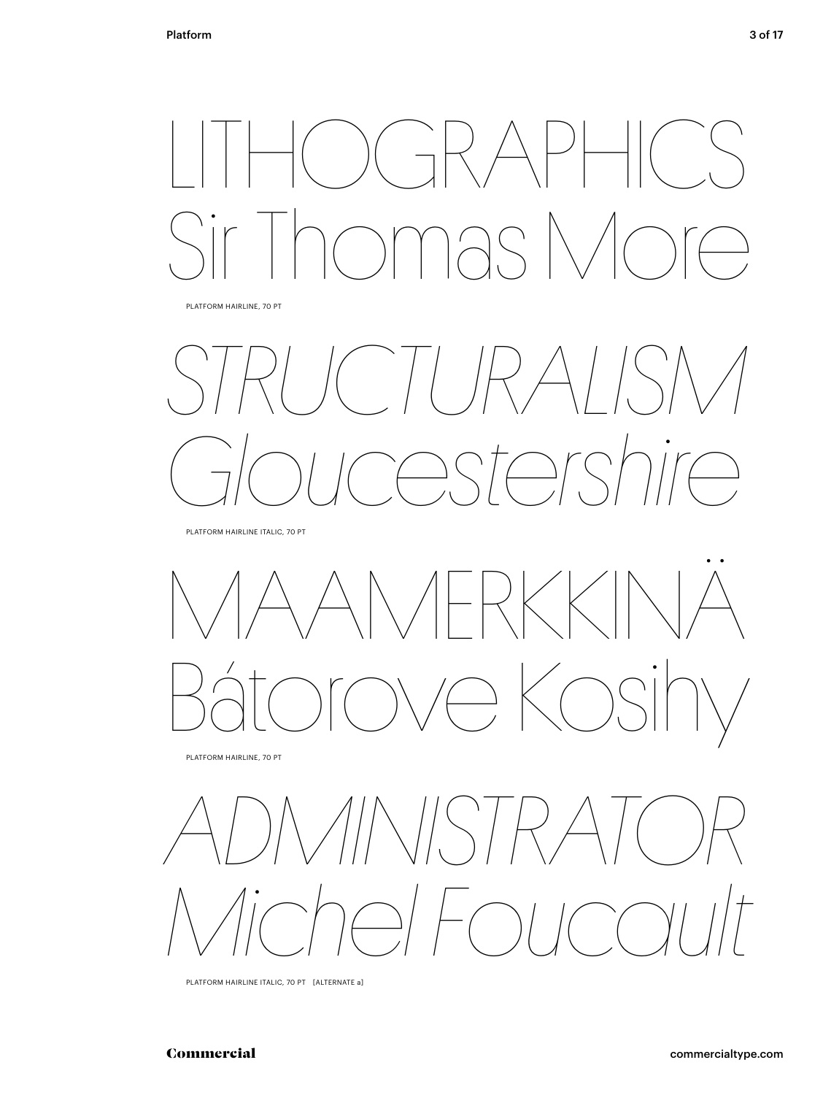

PLATFORM HAIRLINE, 70 PT



PLATFORM HAIRLINE ITALIC, 70 PT



PLATFORM HAIRLINE, 70 PT

*ADMINISTRATOR Michel Foucault*

PLATFORM HAIRLINE ITALIC, 70 PT [ALTERNATE a]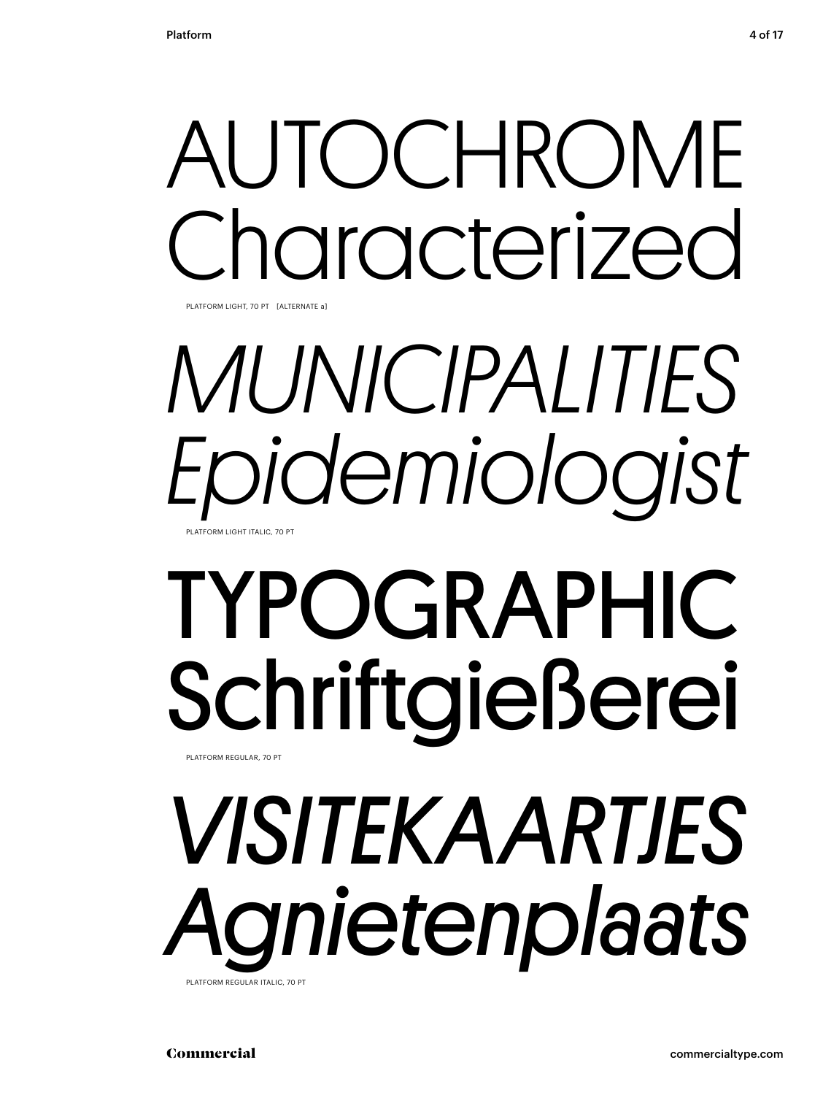## AUTOCHROME Characterized

PLATFORM LIGHT, 70 PT [ALTERNATE a]

### *MUNICIPALITIES Epidemiologist* PLATFORM LIGHT ITALIC, 70

### TYPOGRAPHIC Schriftgießerei PLATFORM REGULAR, 70 PT

## *VISITEKAARTJES Agnietenplaats*

PLATFORM REGULAR ITALIC, 70 PT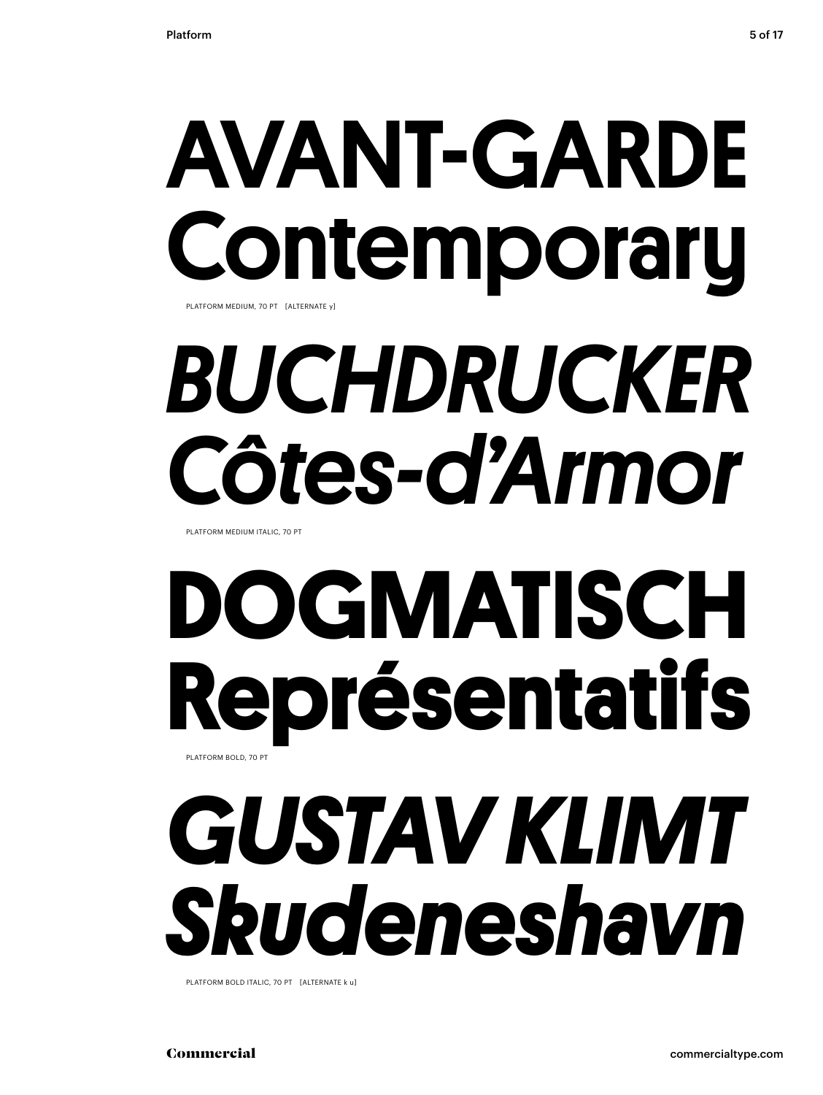### AVANT-GARDE **Contemporary** PLATFORM MEDIUM, 70 PT [ALTERNATE y]

## *BUCHDRUCKER Côtes-d'Armor*

PLATFORM MEDIUM ITALIC, 70 PT

## **DOGMATISCH Représentatifs** PLATFORM BOLD, 70 PT

## *GUSTAV KLIMT Skudeneshavn*

PLATFORM BOLD ITALIC, 70 PT [ALTERNATE k u]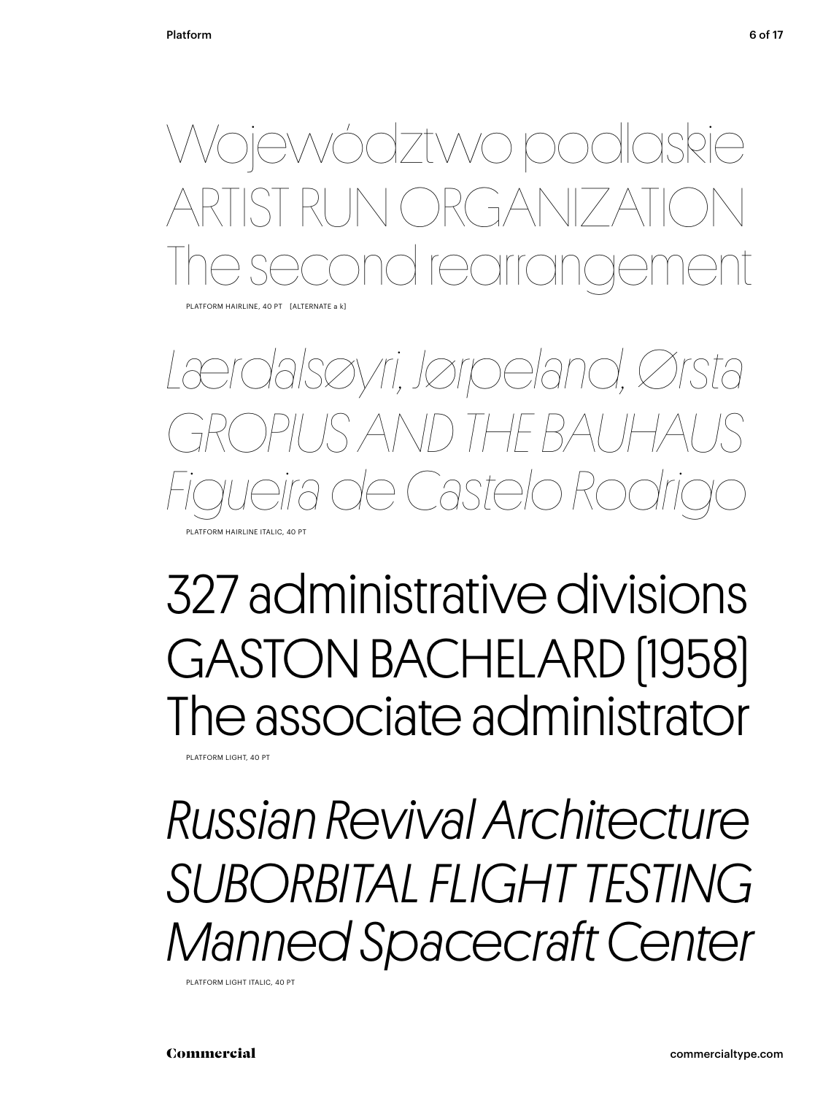

*Lærdalsøyri, Jørpeland, Ørsta GROPIUS AND THE BAUHAUS Figueira de Castelo Rodrigo* PLATFORM HAIRLINE ITALIC, 40 PT

#### 327 administrative divisions GASTON BACHELARD (1958) The associate administrator

PLATFORM LIGHT, 40 PT

*Russian Revival Architecture SUBORBITAL FLIGHT TESTING Manned Spacecraft Center*

PLATFORM LIGHT ITALIC, 40 PT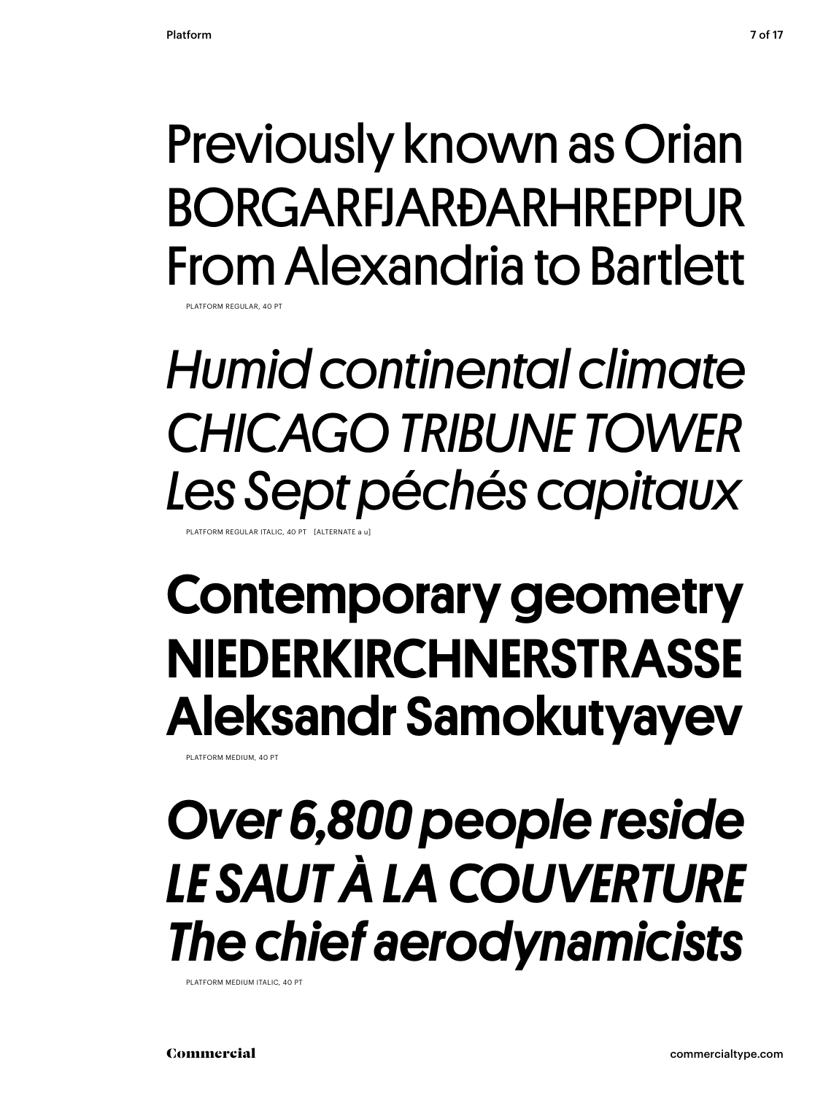### Previously known as Orian BORGARFJARÐARHREPPUR From Alexandria to Bartlett

**LATFORM REGULAR, 40 PT** 

*Humid continental climate CHICAGO TRIBUNE TOWER Les Sept péchés capitaux*

PLATFORM REGULAR ITALIC, 40 PT [ALTERNATE

#### Contemporary geometry NIEDERKIRCHNERSTRASSE Aleksandr Samokutyayev

PLATFORM MEDIUM, 40 PT

#### *Over 6,800 people reside LE SAUT À LA COUVERTURE The chief aerodynamicists*

PLATFORM MEDIUM ITALIC, 40 PT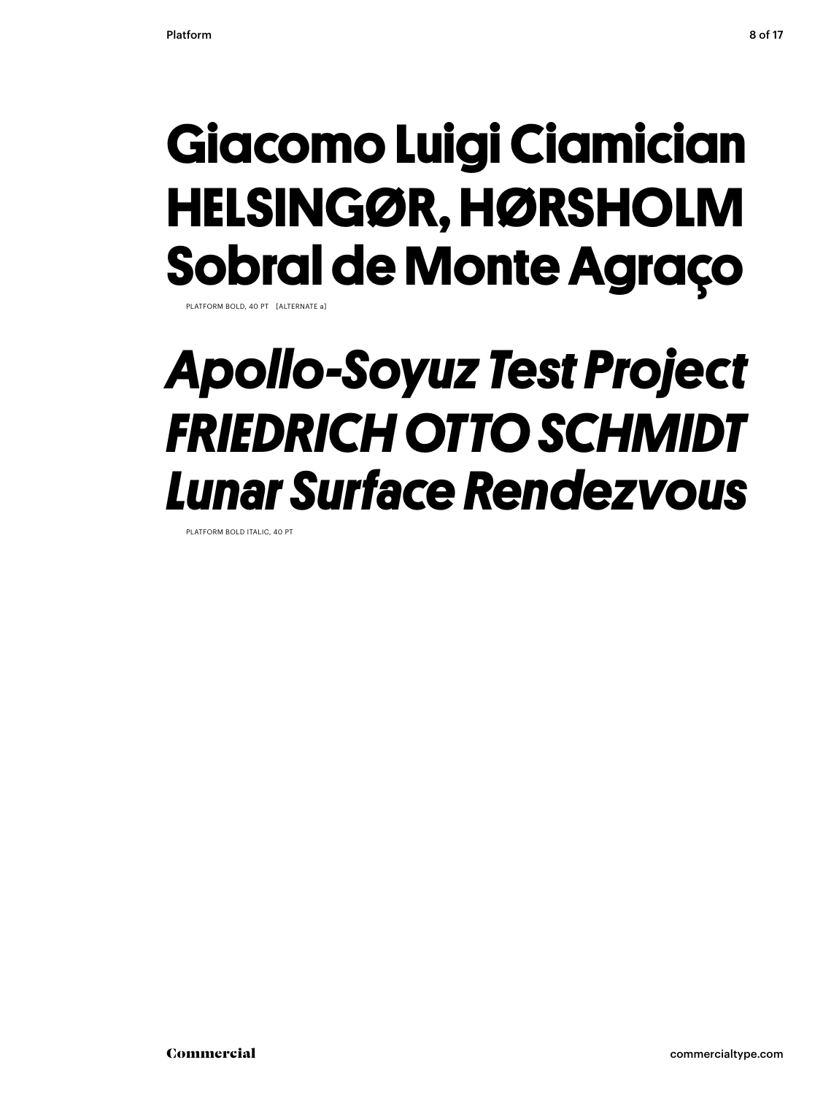### **Giacomo Luigi Ciamician HELSINGØR, HØRSHOLM Sobral de Monte Agraço**

PLATFORM BOLD, 40 PT [ALTERNATE a

#### *Apollo-Soyuz Test Project FRIEDRICH OTTO SCHMIDT Lunar Surface Rendezvous*

PLATFORM BOLD ITALIC, 40 PT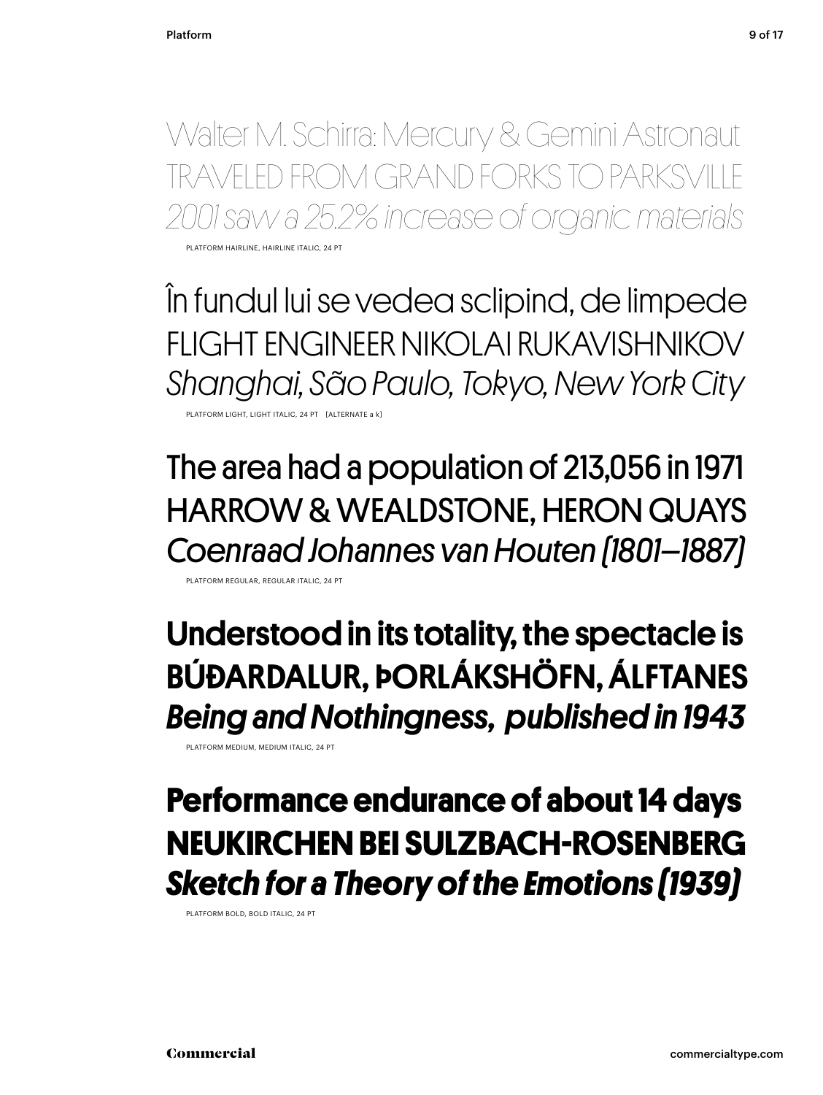Walter M. Schirra: Mercury & Gemini Astronaut TRAVELED FROM GRAND FORKS TO PARKSVILLE *2001 saw a 25.2% increase of organic materials*

PLATFORM HAIRLINE, HAIRLINE ITALIC, 24 PT

În fundul lui se vedea sclipind, de limpede FLIGHT ENGINEER NIKOLAI RUKAVISHNIKOV *Shanghai, São Paulo, Tokyo, New York City* PLATFORM LIGHT, LIGHT ITALIC, 24 PT [ALTERNATE a k]

The area had a population of 213,056 in 1971 HARROW & WEALDSTONE, HERON QUAYS *Coenraad Johannes van Houten (1801–1887)*

PLATFORM REGULAR, REGULAR ITALIC, 24 PT

Understood in its totality, the spectacle is BÚÐARDALUR, ÞORLÁKSHÖFN, ÁLFTANES *Being and Nothingness, published in 1943*

PLATFORM MEDIUM, MEDIUM ITALIC, 24 PT

#### **Performance endurance of about 14 days NEUKIRCHEN BEI SULZBACH-ROSENBERG** *Sketch for a Theory of the Emotions (1939)*

PLATFORM BOLD, BOLD ITALIC, 24 PT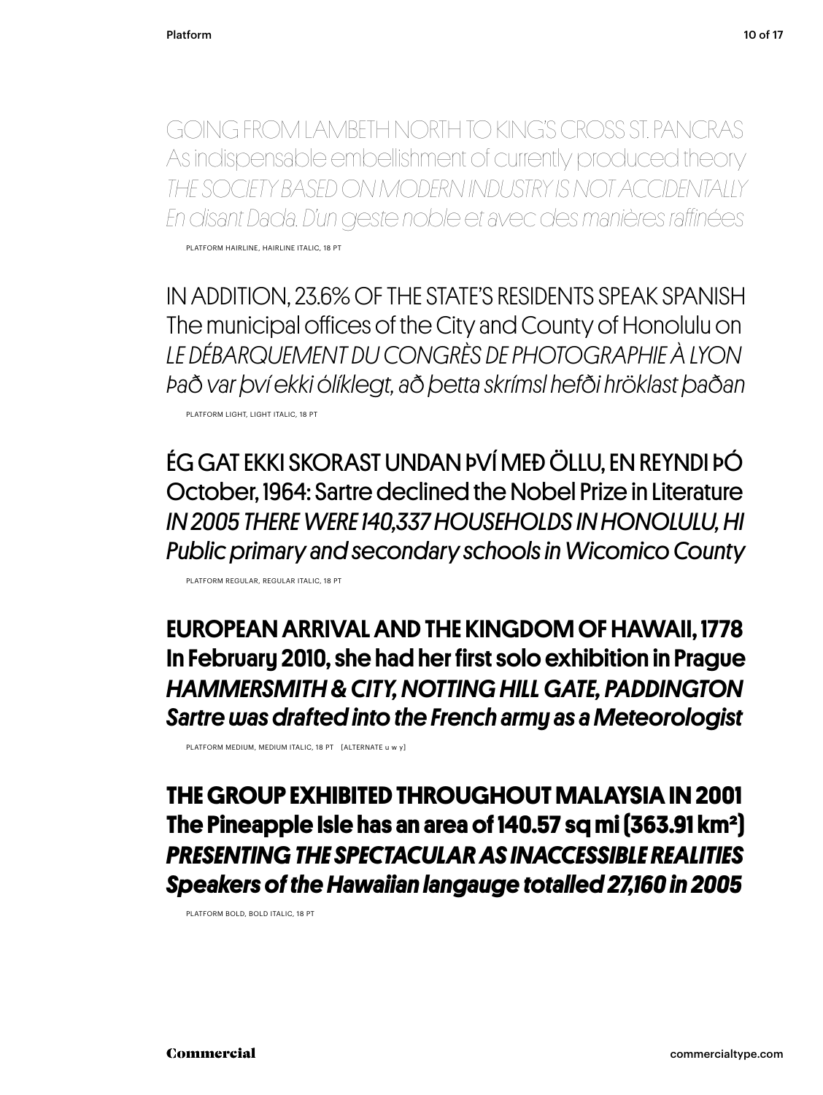GOING FROM LAMBETH NORTH TO KING'S CROSS ST. PANCRAS As indispensable embellishment of currently produced theory *THE SOCIETY BASED ON MODERN INDUSTRY IS NOT ACCIDENTALLY* En disant Dada. D'un geste noble et avec des manières raffinées

PLATFORM HAIRLINE, HAIRLINE ITALIC, 18 PT

IN ADDITION, 23.6% OF THE STATE'S RESIDENTS SPEAK SPANISH The municipal offices of the City and County of Honolulu on *LE DÉBARQUEMENT DU CONGRÈS DE PHOTOGRAPHIE À LYON Það var því ekki ólíklegt, að þetta skrímsl hefði hröklast þaðan*

PLATFORM LIGHT, LIGHT ITALIC, 18 PT

ÉG GAT EKKI SKORAST UNDAN ÞVÍ MEÐ ÖLLU, EN REYNDI ÞÓ October, 1964: Sartre declined the Nobel Prize in Literature *IN 2005 THERE WERE 140,337 HOUSEHOLDS IN HONOLULU, HI Public primary and secondary schools in Wicomico County*

PLATFORM REGULAR, REGULAR ITALIC, 18 PT

EUROPEAN ARRIVAL AND THE KINGDOM OF HAWAII, 1778 In February 2010, she had her first solo exhibition in Prague *HAMMERSMITH & CITY, NOTTING HILL GATE, PADDINGTON Sartre was drafted into the French army as a Meteorologist*

PLATFORM MEDIUM, MEDIUM ITALIC, 18 PT [ALTERNATE u w y]

**THE GROUP EXHIBITED THROUGHOUT MALAYSIA IN 2001 The Pineapple Isle has an area of 140.57 sq mi (363.91 km²)** *PRESENTING THE SPECTACULAR AS INACCESSIBLE REALITIES Speakers of the Hawaiian langauge totalled 27,160 in 2005*

PLATFORM BOLD, BOLD ITALIC, 18 PT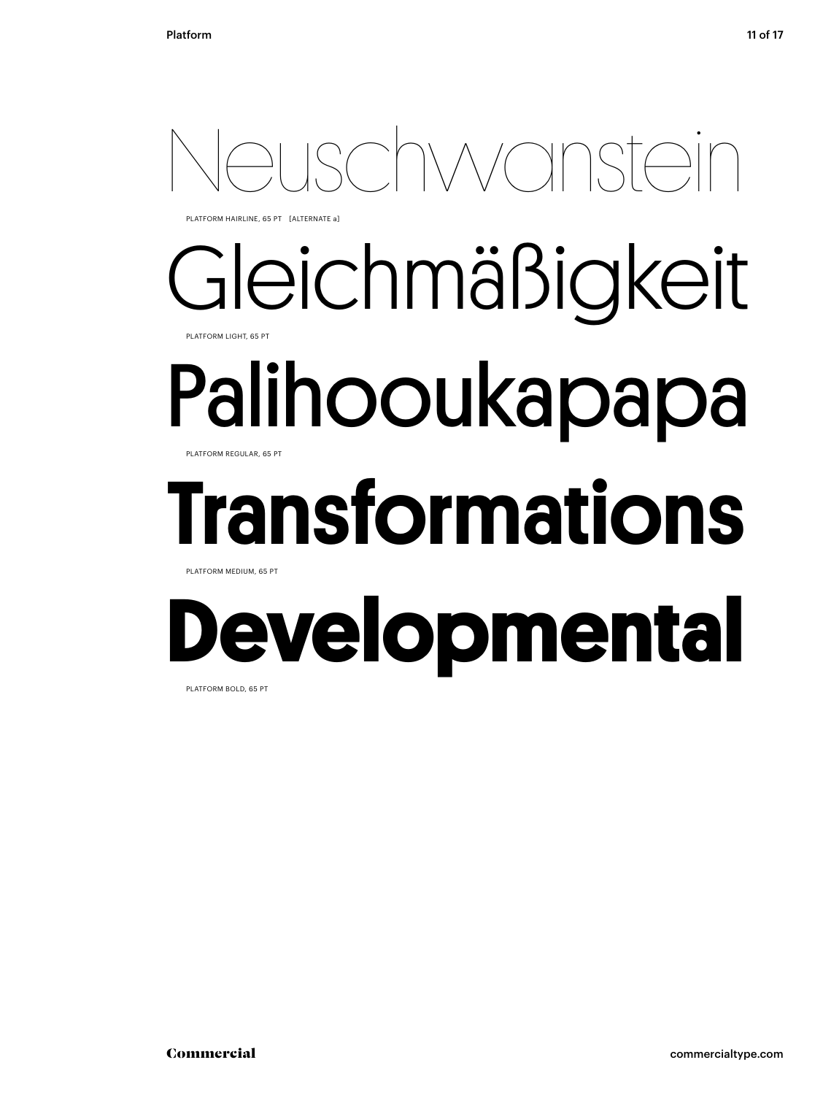## Neuschwanstein

PLATFORM HAIRLINE, 65 PT [ALTERNATE a]

### Gleichmäßigkeit Palihooukapapa **Transformations** PLATFORM LIGHT, 65 PT PLATFORM REGULAR, 65 PT

PLATFORM MEDIUM, 65 PT

## **Developmental**

PLATFORM BOLD, 65 PT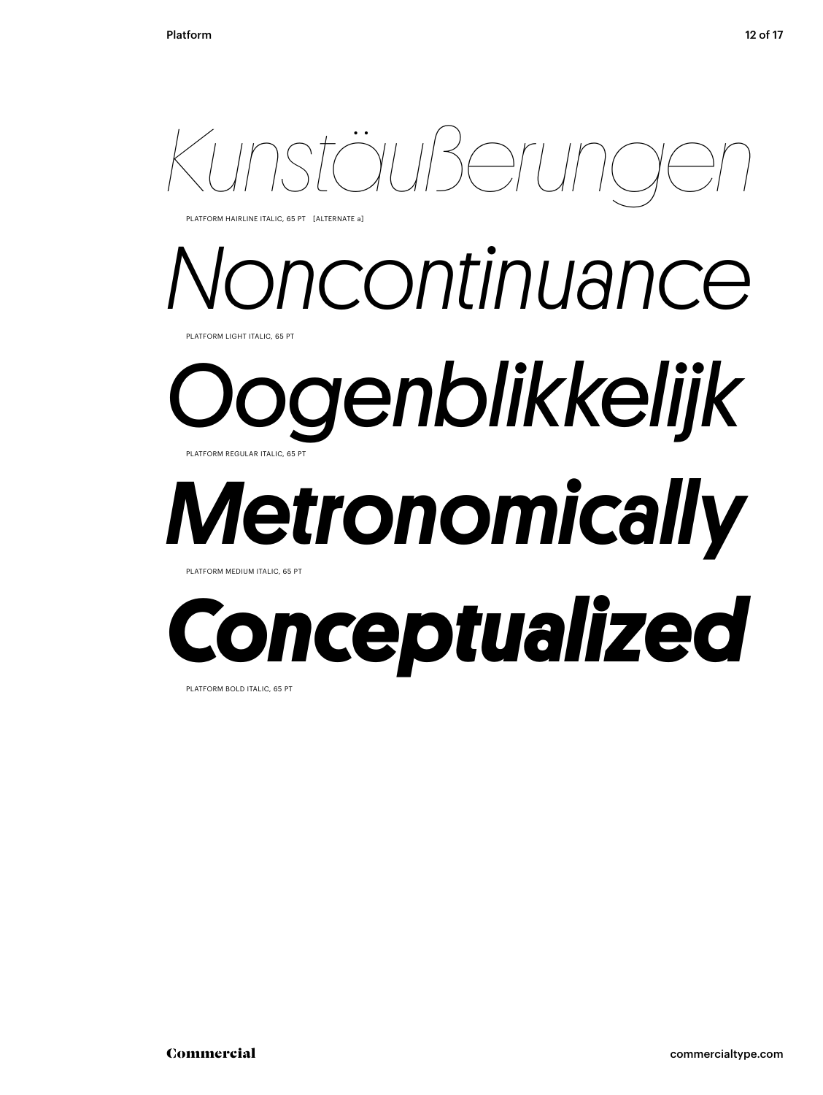

PLATFORM HAIRLINE ITALIC, 65 PT [ALTERNATE a]

## *Noncontinuance*

PLATFORM LIGHT ITALIC, 65 PT

*Oogenblikkelijk* PLATFORM REGULAR ITALIC, 65 PT

## *Metronomically*

PLATFORM MEDIUM ITALIC, 65 PT

*Conceptualized*

PLATFORM BOLD ITALIC, 65 PT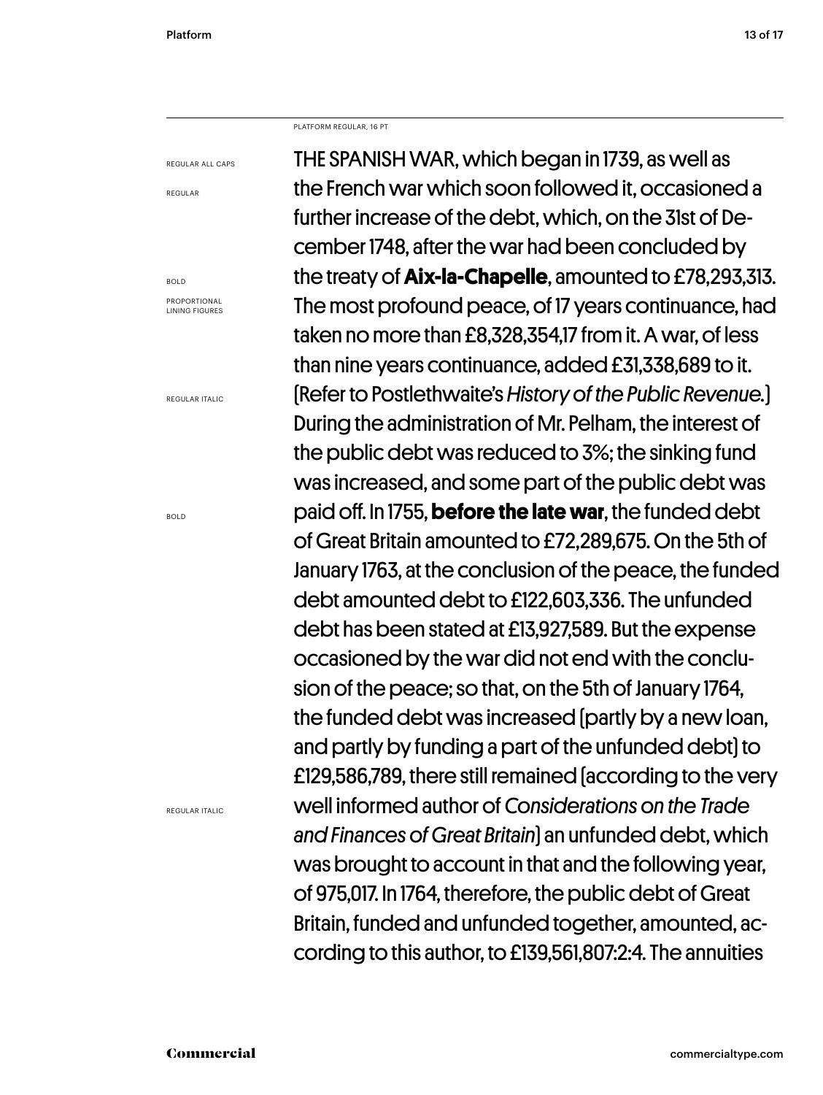PLATFORM REGULAR, 16 PT

REGULAR ALL CAPS

REGULAR

BOLD PROPORTIONAL LINING FIGURES

REGULAR ITALIC

BOLD

REGULAR ITALIC

THE SPANISH WAR, which began in 1739, as well as the French war which soon followed it, occasioned a further increase of the debt, which, on the 31st of December 1748, after the war had been concluded by the treaty of **Aix-la-Chapelle**, amounted to £78,293,313. The most profound peace, of 17 years continuance, had taken no more than £8,328,354,17 from it. A war, of less than nine years continuance, added £31,338,689 to it. (Refer to Postlethwaite's *History of the Public Revenue.*) During the administration of Mr. Pelham, the interest of the public debt was reduced to 3%; the sinking fund was increased, and some part of the public debt was paid off. In 1755, **before the late war**, the funded debt of Great Britain amounted to £72,289,675. On the 5th of January 1763, at the conclusion of the peace, the funded debt amounted debt to £122,603,336. The unfunded debt has been stated at £13,927,589. But the expense occasioned by the war did not end with the conclusion of the peace; so that, on the 5th of January 1764, the funded debt was increased (partly by a new loan, and partly by funding a part of the unfunded debt) to £129,586,789, there still remained (according to the very well informed author of *Considerations on the Trade and Finances of Great Britain*) an unfunded debt, which was brought to account in that and the following year, of 975,017. In 1764, therefore, the public debt of Great Britain, funded and unfunded together, amounted, according to this author, to £139,561,807:2:4. The annuities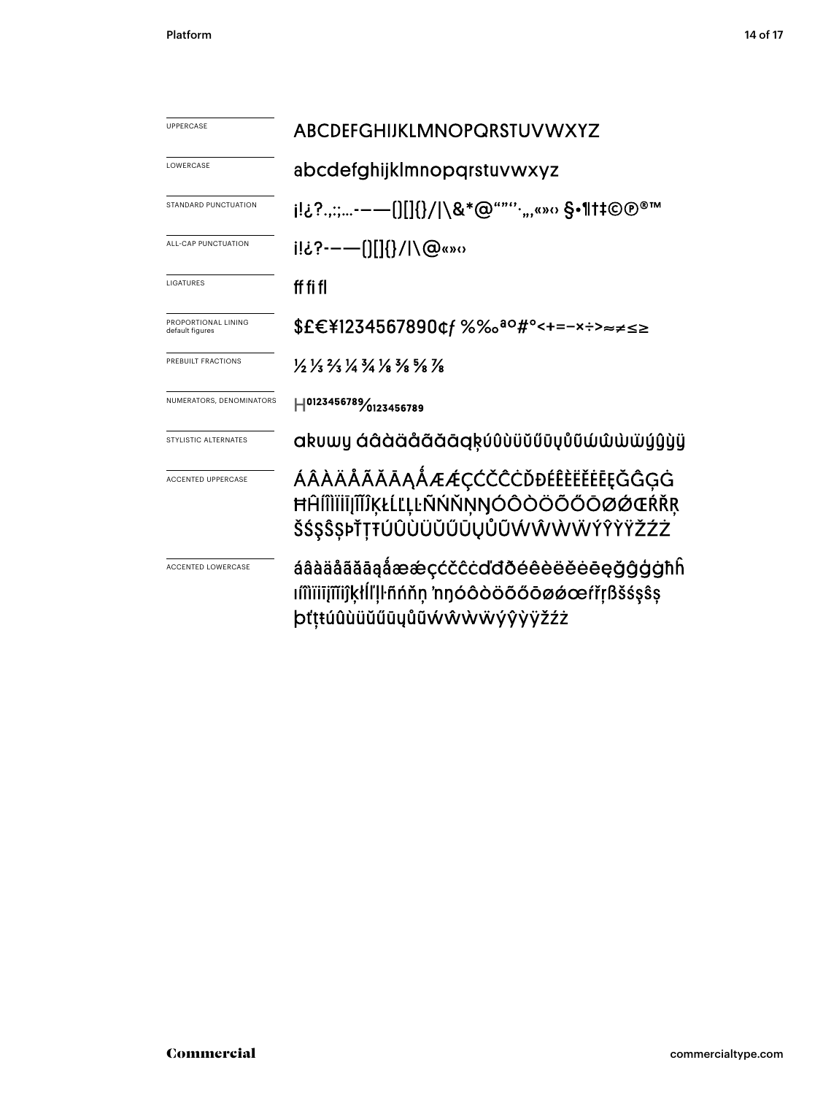| <b>UPPERCASE</b>                       | <b>ABCDEFGHIJKLMNOPQRSTUVWXYZ</b>                                                                           |
|----------------------------------------|-------------------------------------------------------------------------------------------------------------|
| LOWERCASE                              | abcdefghijklmnopqrstuvwxyz                                                                                  |
| STANDARD PUNCTUATION                   | i!¿?.,:;-——[][]{}/ \&*@"""·",«»0 \$•¶†‡©®™                                                                  |
| ALL-CAP PUNCTUATION                    | i!¿?--—[][]{}/ \@@o                                                                                         |
| LIGATURES                              | ff fi fl                                                                                                    |
| PROPORTIONAL LINING<br>default figures | \$£€¥1234567890¢f %‰ <sup>ao</sup> #°<+=-×÷>≈≠≤≥                                                            |
| PREBUILT FRACTIONS                     | 1/2 1/3 2/3 1/4 3/4 1/8 3/8 3/8 1/8                                                                         |
| NUMERATORS, DENOMINATORS               | → 0123456789 0123456789                                                                                     |
| STYLISTIC ALTERNATES                   | akuwy áâàäåããāqkúûùüŭűūųůũŵŵŵŵýŷỳÿ                                                                          |
| <b>ACCENTED UPPERCASE</b>              | ÁÂÀÄÅÃĂĀĄÅÆÆÇĆČĈČĎĐÉÊÈËĖĒĘĞĜĢĠ<br>ĦĤĺĨÌĬĨĨĨĨĶŁĹĽĻĿÑŃŇŅŊÓÔÒÖŐŐŌØØŒŔŘŖ<br>ŠŚŞŜŞÞŤŢŦÚÛÙÜŬŰŨŲŮŨŴŴŴŴÝŶŶŸŽŹŻ      |
| <b>ACCENTED LOWERCASE</b>              | áâàäåãăāąåææçćčĉċďđðéêèëěēęğĝģġħĥ<br>ımıiiminiklillınnnm nnóôoööööøøæffrßšśşŝs<br>þťṭŧúûùüŭűūyůũẃŵẁẅýŷỳÿžźż |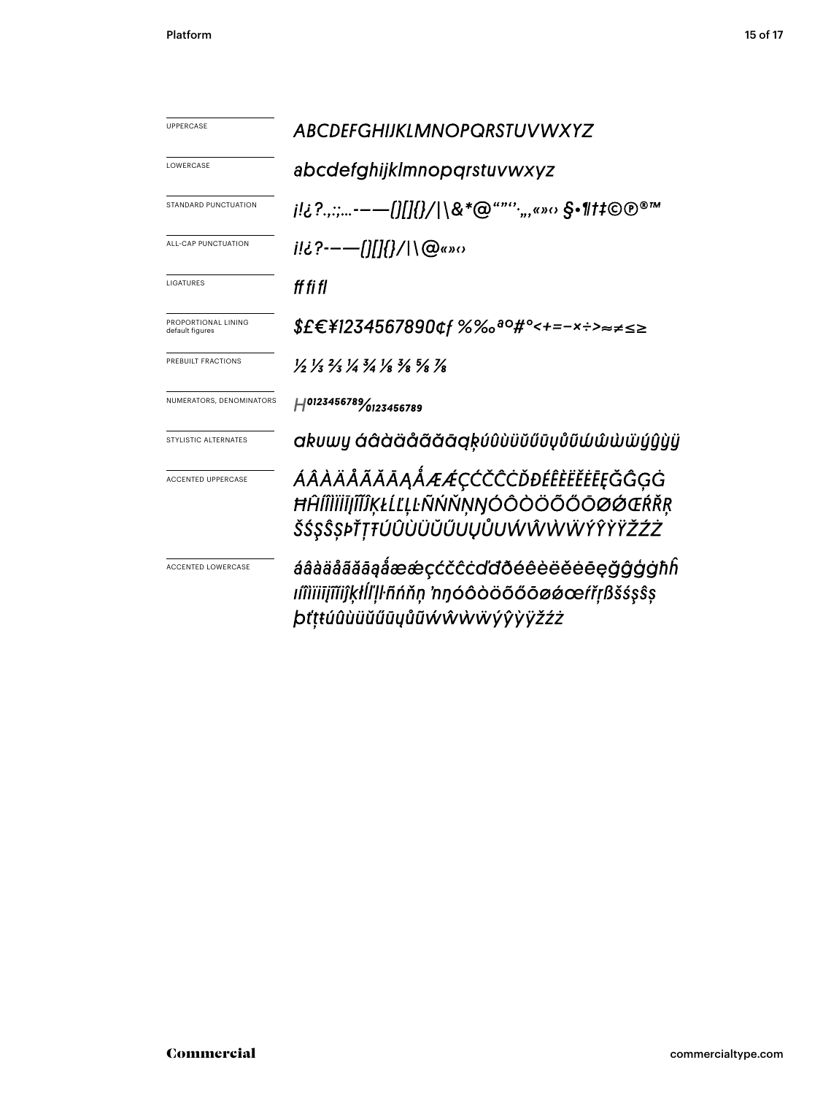| UPPERCASE                              | <b>ABCDEFGHIJKLMNOPQRSTUVWXYZ</b>                                                                                |
|----------------------------------------|------------------------------------------------------------------------------------------------------------------|
| LOWERCASE                              | abcdefghijklmnopqrstuvwxyz                                                                                       |
| STANDARD PUNCTUATION                   | <i>i!¿</i> ?.,:;-——()[]{}/ \&*@""''·,,«»o §•¶t‡©℗®™                                                              |
| ALL-CAP PUNCTUATION                    | i!¿?-——[][]{}/ ∖@«»o                                                                                             |
| LIGATURES                              | ff fi fl                                                                                                         |
| PROPORTIONAL LINING<br>default figures | \$£€¥1234567890¢f %‰ <sup>ao</sup> #°<+=-×÷>≈≠≤≥                                                                 |
| PREBUILT FRACTIONS                     | 1/2 1/3 2/3 1/4 3/4 1/8 3/8 3/8 1/8                                                                              |
| NUMERATORS, DENOMINATORS               | H0123456789/0123456789                                                                                           |
| STYLISTIC ALTERNATES                   | akuwy áâàäåãăāąķúûùüŭűūųůũώŵὼüýŷỳÿ                                                                               |
| ACCENTED UPPERCASE                     | ÁÂAÄÅÃĂĀĄÅÆÆÇĆČĈŎĐÉÊÈËĔĒĘĞĜĢĠ<br>ĦĤĺÎÌĬĬĨIJĨĨĶŁĹĽĻĿÑŃŇŅŊÓÔŎŎŎŎŎØŒŔŘŖ<br>ŠŚŞŜȘPŤŢŦÚÛÙÜŬŰUŲŮUŴŴŴŴŶŶŶŸŽŹŻ           |
| ACCENTED LOWERCASE                     | áâàäåãăāąåææçćčĉċďđðéêèëĕēēęğĝģġħĥ<br>ımıili imişkili   Intin ngóôòöõőōøøœŕřrßšśşŝs<br>þťţŧúûùüŭűūyůũẃŵẁẅýŷỳÿžźż |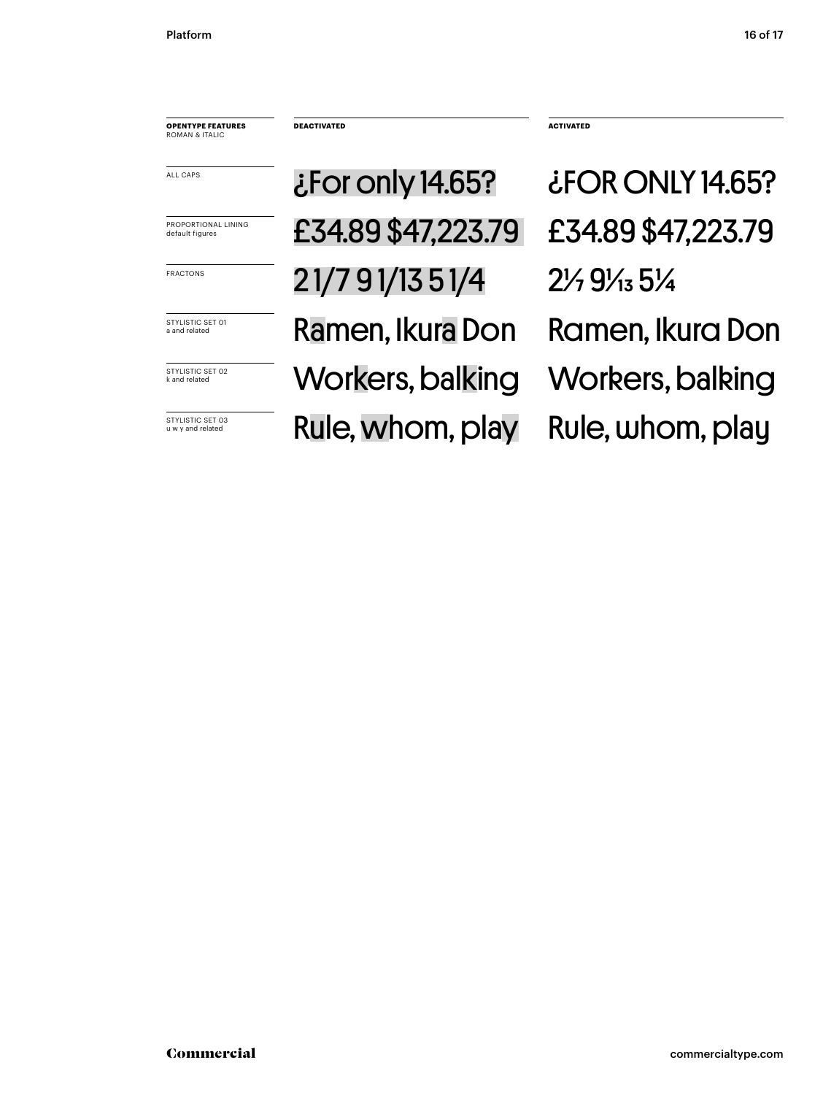**OPENTYPE FEATURES** ROMAN & ITALIC

Ramen, Ikura Don FRACTONS 21/7 91/13 51/4 21/91/13 51/4

**DEACTIVATED ACTIVATED** 

STYLISTIC SET OI**Nter Ramen, Ikura Don Ramen, Ikura Don ETYLISTIC SET O2 Workers, balking Workers, balking** STYLISTIC SET O3 **Rule, whom, play** Rule, whom, play  $\dot{\mathcal{E}}$  For only 14.65?  $\dot{\mathcal{E}}$  FOR ONLY 14.65? PROPORTIONAL LINING **E34.89 \$47,223.79** £34.89 \$47,223.79